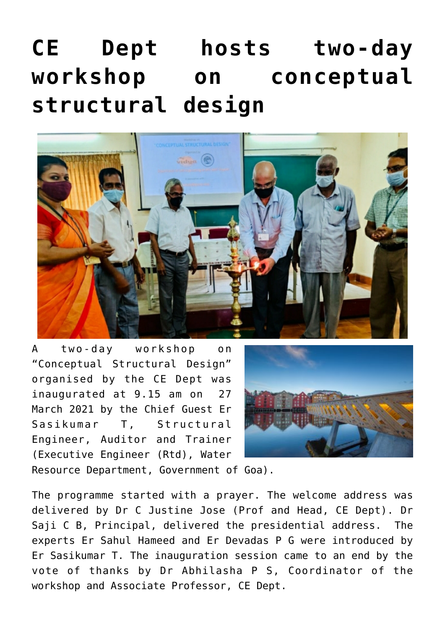## **[CE Dept hosts two-day](https://news.vidyaacademy.ac.in/2021/03/31/ce-dept-hosts-two-day-workshop-on-conceptual-structural-design/) [workshop on conceptual](https://news.vidyaacademy.ac.in/2021/03/31/ce-dept-hosts-two-day-workshop-on-conceptual-structural-design/) [structural design](https://news.vidyaacademy.ac.in/2021/03/31/ce-dept-hosts-two-day-workshop-on-conceptual-structural-design/)**



A two-day workshop on "Conceptual Structural Design" organised by the CE Dept was inaugurated at 9.15 am on 27 March 2021 by the Chief Guest Er Sasikumar T, Structural Engineer, Auditor and Trainer (Executive Engineer (Rtd), Water



Resource Department, Government of Goa).

The programme started with a prayer. The welcome address was delivered by Dr C Justine Jose (Prof and Head, CE Dept). Dr Saji C B, Principal, delivered the presidential address. The experts Er Sahul Hameed and Er Devadas P G were introduced by Er Sasikumar T. The inauguration session came to an end by the vote of thanks by Dr Abhilasha P S, Coordinator of the workshop and Associate Professor, CE Dept.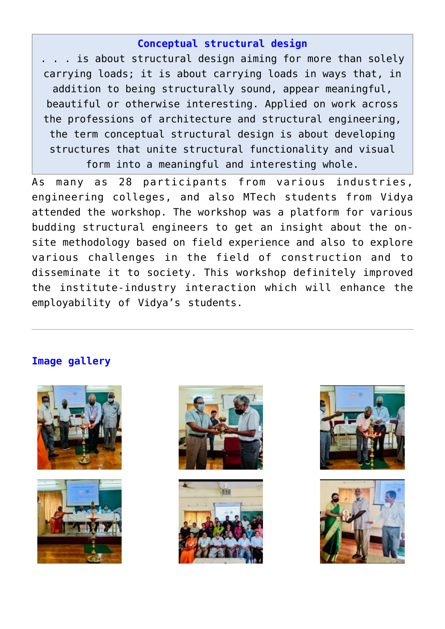## **Conceptual structural design**

. . . is about structural design aiming for more than solely carrying loads; it is about carrying loads in ways that, in addition to being structurally sound, appear meaningful, beautiful or otherwise interesting. Applied on work across the professions of architecture and structural engineering, the term conceptual structural design is about developing structures that unite structural functionality and visual form into a meaningful and interesting whole.

As many as 28 participants from various industries, engineering colleges, and also MTech students from Vidya attended the workshop. The workshop was a platform for various budding structural engineers to get an insight about the onsite methodology based on field experience and also to explore various challenges in the field of construction and to disseminate it to society. This workshop definitely improved the institute-industry interaction which will enhance the employability of Vidya's students.

## **Image gallery**